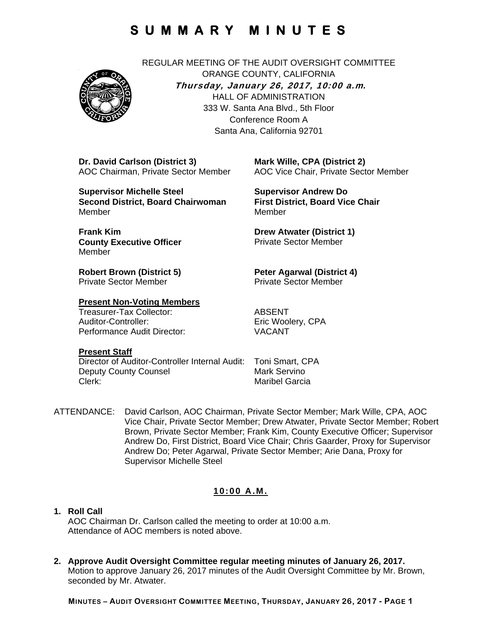

REGULAR MEETING OF THE AUDIT OVERSIGHT COMMITTEE ORANGE COUNTY, CALIFORNIA **Thursday, January 26, 2017, 10:00 a.m***.* HALL OF ADMINISTRATION 333 W. Santa Ana Blvd., 5th Floor Conference Room A Santa Ana, California 92701

**Dr. David Carlson (District 3)**  AOC Chairman, Private Sector Member

**Supervisor Michelle Steel Second District, Board Chairwoman**  Member

**Frank Kim County Executive Officer**  Member

**Robert Brown (District 5)**  Private Sector Member

#### **Present Non-Voting Members**

Treasurer-Tax Collector: ABSENT Auditor-Controller: Eric Woolery, CPA<br>
Performance Audit Director: VACANT Performance Audit Director:

**Mark Wille, CPA (District 2)**  AOC Vice Chair, Private Sector Member

**Supervisor Andrew Do First District, Board Vice Chair**  Member

**Drew Atwater (District 1)**  Private Sector Member

**Peter Agarwal (District 4)**  Private Sector Member

#### **Present Staff**

Director of Auditor-Controller Internal Audit: Toni Smart, CPA Deputy County Counsel **Mark Servino** Clerk: Maribel Garcia

ATTENDANCE: David Carlson, AOC Chairman, Private Sector Member; Mark Wille, CPA, AOC Vice Chair, Private Sector Member; Drew Atwater, Private Sector Member; Robert Brown, Private Sector Member; Frank Kim, County Executive Officer; Supervisor Andrew Do, First District, Board Vice Chair; Chris Gaarder, Proxy for Supervisor Andrew Do; Peter Agarwal, Private Sector Member; Arie Dana, Proxy for Supervisor Michelle Steel

### **10:00 A.M.**

#### **1. Roll Call** AOC Chairman Dr. Carlson called the meeting to order at 10:00 a.m. Attendance of AOC members is noted above.

**2. Approve Audit Oversight Committee regular meeting minutes of January 26, 2017.**  Motion to approve January 26, 2017 minutes of the Audit Oversight Committee by Mr. Brown, seconded by Mr. Atwater.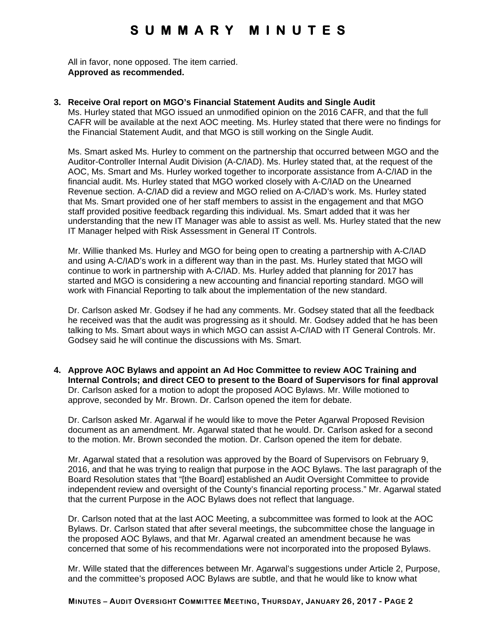All in favor, none opposed. The item carried. **Approved as recommended.** 

**3. Receive Oral report on MGO's Financial Statement Audits and Single Audit** 

Ms. Hurley stated that MGO issued an unmodified opinion on the 2016 CAFR, and that the full CAFR will be available at the next AOC meeting. Ms. Hurley stated that there were no findings for the Financial Statement Audit, and that MGO is still working on the Single Audit.

Ms. Smart asked Ms. Hurley to comment on the partnership that occurred between MGO and the Auditor-Controller Internal Audit Division (A-C/IAD). Ms. Hurley stated that, at the request of the AOC, Ms. Smart and Ms. Hurley worked together to incorporate assistance from A-C/IAD in the financial audit. Ms. Hurley stated that MGO worked closely with A-C/IAD on the Unearned Revenue section. A-C/IAD did a review and MGO relied on A-C/IAD's work. Ms. Hurley stated that Ms. Smart provided one of her staff members to assist in the engagement and that MGO staff provided positive feedback regarding this individual. Ms. Smart added that it was her understanding that the new IT Manager was able to assist as well. Ms. Hurley stated that the new IT Manager helped with Risk Assessment in General IT Controls.

Mr. Willie thanked Ms. Hurley and MGO for being open to creating a partnership with A-C/IAD and using A-C/IAD's work in a different way than in the past. Ms. Hurley stated that MGO will continue to work in partnership with A-C/IAD. Ms. Hurley added that planning for 2017 has started and MGO is considering a new accounting and financial reporting standard. MGO will work with Financial Reporting to talk about the implementation of the new standard.

Dr. Carlson asked Mr. Godsey if he had any comments. Mr. Godsey stated that all the feedback he received was that the audit was progressing as it should. Mr. Godsey added that he has been talking to Ms. Smart about ways in which MGO can assist A-C/IAD with IT General Controls. Mr. Godsey said he will continue the discussions with Ms. Smart.

**4. Approve AOC Bylaws and appoint an Ad Hoc Committee to review AOC Training and Internal Controls; and direct CEO to present to the Board of Supervisors for final approval**  Dr. Carlson asked for a motion to adopt the proposed AOC Bylaws. Mr. Wille motioned to approve, seconded by Mr. Brown. Dr. Carlson opened the item for debate.

Dr. Carlson asked Mr. Agarwal if he would like to move the Peter Agarwal Proposed Revision document as an amendment. Mr. Agarwal stated that he would. Dr. Carlson asked for a second to the motion. Mr. Brown seconded the motion. Dr. Carlson opened the item for debate.

Mr. Agarwal stated that a resolution was approved by the Board of Supervisors on February 9, 2016, and that he was trying to realign that purpose in the AOC Bylaws. The last paragraph of the Board Resolution states that "[the Board] established an Audit Oversight Committee to provide independent review and oversight of the County's financial reporting process." Mr. Agarwal stated that the current Purpose in the AOC Bylaws does not reflect that language.

Dr. Carlson noted that at the last AOC Meeting, a subcommittee was formed to look at the AOC Bylaws. Dr. Carlson stated that after several meetings, the subcommittee chose the language in the proposed AOC Bylaws, and that Mr. Agarwal created an amendment because he was concerned that some of his recommendations were not incorporated into the proposed Bylaws.

Mr. Wille stated that the differences between Mr. Agarwal's suggestions under Article 2, Purpose, and the committee's proposed AOC Bylaws are subtle, and that he would like to know what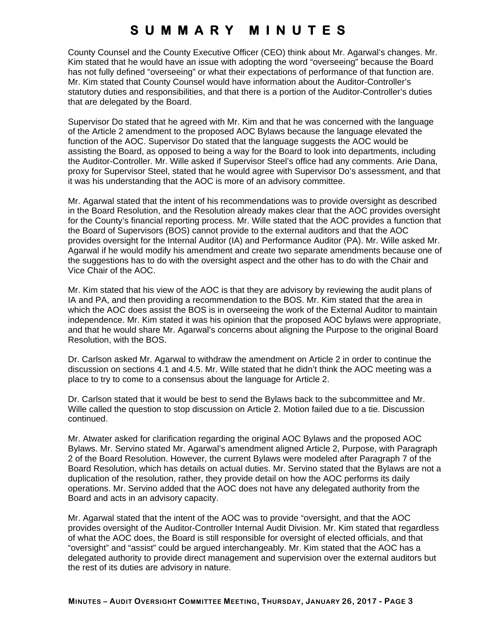County Counsel and the County Executive Officer (CEO) think about Mr. Agarwal's changes. Mr. Kim stated that he would have an issue with adopting the word "overseeing" because the Board has not fully defined "overseeing" or what their expectations of performance of that function are. Mr. Kim stated that County Counsel would have information about the Auditor-Controller's statutory duties and responsibilities, and that there is a portion of the Auditor-Controller's duties that are delegated by the Board.

Supervisor Do stated that he agreed with Mr. Kim and that he was concerned with the language of the Article 2 amendment to the proposed AOC Bylaws because the language elevated the function of the AOC. Supervisor Do stated that the language suggests the AOC would be assisting the Board, as opposed to being a way for the Board to look into departments, including the Auditor-Controller. Mr. Wille asked if Supervisor Steel's office had any comments. Arie Dana, proxy for Supervisor Steel, stated that he would agree with Supervisor Do's assessment, and that it was his understanding that the AOC is more of an advisory committee.

Mr. Agarwal stated that the intent of his recommendations was to provide oversight as described in the Board Resolution, and the Resolution already makes clear that the AOC provides oversight for the County's financial reporting process. Mr. Wille stated that the AOC provides a function that the Board of Supervisors (BOS) cannot provide to the external auditors and that the AOC provides oversight for the Internal Auditor (IA) and Performance Auditor (PA). Mr. Wille asked Mr. Agarwal if he would modify his amendment and create two separate amendments because one of the suggestions has to do with the oversight aspect and the other has to do with the Chair and Vice Chair of the AOC.

Mr. Kim stated that his view of the AOC is that they are advisory by reviewing the audit plans of IA and PA, and then providing a recommendation to the BOS. Mr. Kim stated that the area in which the AOC does assist the BOS is in overseeing the work of the External Auditor to maintain independence. Mr. Kim stated it was his opinion that the proposed AOC bylaws were appropriate, and that he would share Mr. Agarwal's concerns about aligning the Purpose to the original Board Resolution, with the BOS.

Dr. Carlson asked Mr. Agarwal to withdraw the amendment on Article 2 in order to continue the discussion on sections 4.1 and 4.5. Mr. Wille stated that he didn't think the AOC meeting was a place to try to come to a consensus about the language for Article 2.

Dr. Carlson stated that it would be best to send the Bylaws back to the subcommittee and Mr. Wille called the question to stop discussion on Article 2. Motion failed due to a tie. Discussion continued.

Mr. Atwater asked for clarification regarding the original AOC Bylaws and the proposed AOC Bylaws. Mr. Servino stated Mr. Agarwal's amendment aligned Article 2, Purpose, with Paragraph 2 of the Board Resolution. However, the current Bylaws were modeled after Paragraph 7 of the Board Resolution, which has details on actual duties. Mr. Servino stated that the Bylaws are not a duplication of the resolution, rather, they provide detail on how the AOC performs its daily operations. Mr. Servino added that the AOC does not have any delegated authority from the Board and acts in an advisory capacity.

Mr. Agarwal stated that the intent of the AOC was to provide "oversight, and that the AOC provides oversight of the Auditor-Controller Internal Audit Division. Mr. Kim stated that regardless of what the AOC does, the Board is still responsible for oversight of elected officials, and that "oversight" and "assist" could be argued interchangeably. Mr. Kim stated that the AOC has a delegated authority to provide direct management and supervision over the external auditors but the rest of its duties are advisory in nature.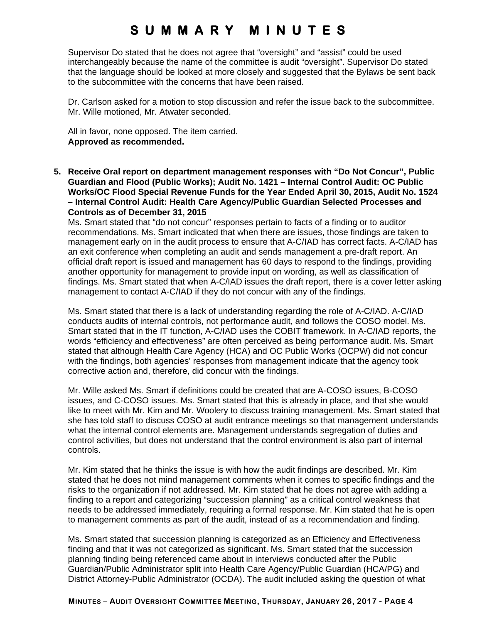Supervisor Do stated that he does not agree that "oversight" and "assist" could be used interchangeably because the name of the committee is audit "oversight". Supervisor Do stated that the language should be looked at more closely and suggested that the Bylaws be sent back to the subcommittee with the concerns that have been raised.

Dr. Carlson asked for a motion to stop discussion and refer the issue back to the subcommittee. Mr. Wille motioned, Mr. Atwater seconded.

All in favor, none opposed. The item carried. **Approved as recommended.** 

**5. Receive Oral report on department management responses with "Do Not Concur", Public Guardian and Flood (Public Works); Audit No. 1421 – Internal Control Audit: OC Public Works/OC Flood Special Revenue Funds for the Year Ended April 30, 2015, Audit No. 1524 – Internal Control Audit: Health Care Agency/Public Guardian Selected Processes and Controls as of December 31, 2015** 

Ms. Smart stated that "do not concur" responses pertain to facts of a finding or to auditor recommendations. Ms. Smart indicated that when there are issues, those findings are taken to management early on in the audit process to ensure that A-C/IAD has correct facts. A-C/IAD has an exit conference when completing an audit and sends management a pre-draft report. An official draft report is issued and management has 60 days to respond to the findings, providing another opportunity for management to provide input on wording, as well as classification of findings. Ms. Smart stated that when A-C/IAD issues the draft report, there is a cover letter asking management to contact A-C/IAD if they do not concur with any of the findings.

Ms. Smart stated that there is a lack of understanding regarding the role of A-C/IAD. A-C/IAD conducts audits of internal controls, not performance audit, and follows the COSO model. Ms. Smart stated that in the IT function, A-C/IAD uses the COBIT framework. In A-C/IAD reports, the words "efficiency and effectiveness" are often perceived as being performance audit. Ms. Smart stated that although Health Care Agency (HCA) and OC Public Works (OCPW) did not concur with the findings, both agencies' responses from management indicate that the agency took corrective action and, therefore, did concur with the findings.

Mr. Wille asked Ms. Smart if definitions could be created that are A-COSO issues, B-COSO issues, and C-COSO issues. Ms. Smart stated that this is already in place, and that she would like to meet with Mr. Kim and Mr. Woolery to discuss training management. Ms. Smart stated that she has told staff to discuss COSO at audit entrance meetings so that management understands what the internal control elements are. Management understands segregation of duties and control activities, but does not understand that the control environment is also part of internal controls.

Mr. Kim stated that he thinks the issue is with how the audit findings are described. Mr. Kim stated that he does not mind management comments when it comes to specific findings and the risks to the organization if not addressed. Mr. Kim stated that he does not agree with adding a finding to a report and categorizing "succession planning" as a critical control weakness that needs to be addressed immediately, requiring a formal response. Mr. Kim stated that he is open to management comments as part of the audit, instead of as a recommendation and finding.

Ms. Smart stated that succession planning is categorized as an Efficiency and Effectiveness finding and that it was not categorized as significant. Ms. Smart stated that the succession planning finding being referenced came about in interviews conducted after the Public Guardian/Public Administrator split into Health Care Agency/Public Guardian (HCA/PG) and District Attorney-Public Administrator (OCDA). The audit included asking the question of what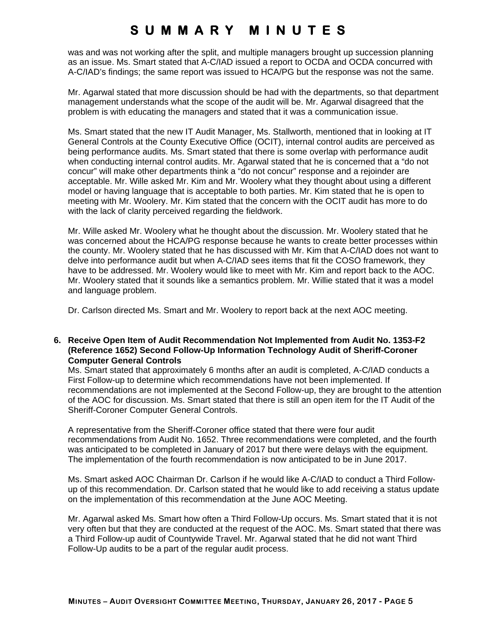was and was not working after the split, and multiple managers brought up succession planning as an issue. Ms. Smart stated that A-C/IAD issued a report to OCDA and OCDA concurred with A-C/IAD's findings; the same report was issued to HCA/PG but the response was not the same.

Mr. Agarwal stated that more discussion should be had with the departments, so that department management understands what the scope of the audit will be. Mr. Agarwal disagreed that the problem is with educating the managers and stated that it was a communication issue.

Ms. Smart stated that the new IT Audit Manager, Ms. Stallworth, mentioned that in looking at IT General Controls at the County Executive Office (OCIT), internal control audits are perceived as being performance audits. Ms. Smart stated that there is some overlap with performance audit when conducting internal control audits. Mr. Agarwal stated that he is concerned that a "do not concur" will make other departments think a "do not concur" response and a rejoinder are acceptable. Mr. Wille asked Mr. Kim and Mr. Woolery what they thought about using a different model or having language that is acceptable to both parties. Mr. Kim stated that he is open to meeting with Mr. Woolery. Mr. Kim stated that the concern with the OCIT audit has more to do with the lack of clarity perceived regarding the fieldwork.

Mr. Wille asked Mr. Woolery what he thought about the discussion. Mr. Woolery stated that he was concerned about the HCA/PG response because he wants to create better processes within the county. Mr. Woolery stated that he has discussed with Mr. Kim that A-C/IAD does not want to delve into performance audit but when A-C/IAD sees items that fit the COSO framework, they have to be addressed. Mr. Woolery would like to meet with Mr. Kim and report back to the AOC. Mr. Woolery stated that it sounds like a semantics problem. Mr. Willie stated that it was a model and language problem.

Dr. Carlson directed Ms. Smart and Mr. Woolery to report back at the next AOC meeting.

### **6. Receive Open Item of Audit Recommendation Not Implemented from Audit No. 1353-F2 (Reference 1652) Second Follow-Up Information Technology Audit of Sheriff-Coroner Computer General Controls**

Ms. Smart stated that approximately 6 months after an audit is completed, A-C/IAD conducts a First Follow-up to determine which recommendations have not been implemented. If recommendations are not implemented at the Second Follow-up, they are brought to the attention of the AOC for discussion. Ms. Smart stated that there is still an open item for the IT Audit of the Sheriff-Coroner Computer General Controls.

A representative from the Sheriff-Coroner office stated that there were four audit recommendations from Audit No. 1652. Three recommendations were completed, and the fourth was anticipated to be completed in January of 2017 but there were delays with the equipment. The implementation of the fourth recommendation is now anticipated to be in June 2017.

Ms. Smart asked AOC Chairman Dr. Carlson if he would like A-C/IAD to conduct a Third Followup of this recommendation. Dr. Carlson stated that he would like to add receiving a status update on the implementation of this recommendation at the June AOC Meeting.

Mr. Agarwal asked Ms. Smart how often a Third Follow-Up occurs. Ms. Smart stated that it is not very often but that they are conducted at the request of the AOC. Ms. Smart stated that there was a Third Follow-up audit of Countywide Travel. Mr. Agarwal stated that he did not want Third Follow-Up audits to be a part of the regular audit process.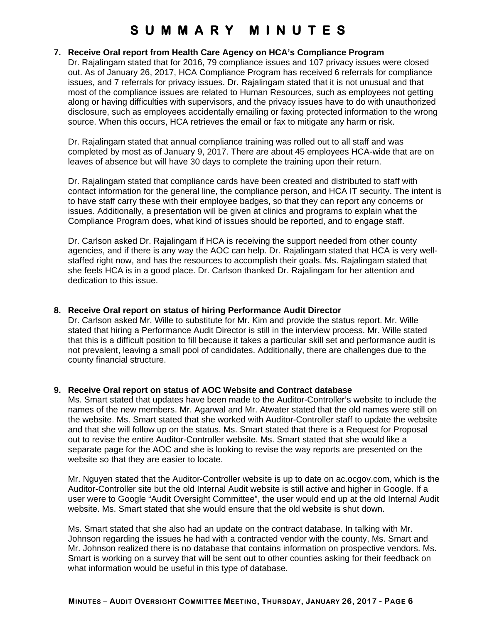### **7. Receive Oral report from Health Care Agency on HCA's Compliance Program**

Dr. Rajalingam stated that for 2016, 79 compliance issues and 107 privacy issues were closed out. As of January 26, 2017, HCA Compliance Program has received 6 referrals for compliance issues, and 7 referrals for privacy issues. Dr. Rajalingam stated that it is not unusual and that most of the compliance issues are related to Human Resources, such as employees not getting along or having difficulties with supervisors, and the privacy issues have to do with unauthorized disclosure, such as employees accidentally emailing or faxing protected information to the wrong source. When this occurs, HCA retrieves the email or fax to mitigate any harm or risk.

Dr. Rajalingam stated that annual compliance training was rolled out to all staff and was completed by most as of January 9, 2017. There are about 45 employees HCA-wide that are on leaves of absence but will have 30 days to complete the training upon their return.

Dr. Rajalingam stated that compliance cards have been created and distributed to staff with contact information for the general line, the compliance person, and HCA IT security. The intent is to have staff carry these with their employee badges, so that they can report any concerns or issues. Additionally, a presentation will be given at clinics and programs to explain what the Compliance Program does, what kind of issues should be reported, and to engage staff.

Dr. Carlson asked Dr. Rajalingam if HCA is receiving the support needed from other county agencies, and if there is any way the AOC can help. Dr. Rajalingam stated that HCA is very wellstaffed right now, and has the resources to accomplish their goals. Ms. Rajalingam stated that she feels HCA is in a good place. Dr. Carlson thanked Dr. Rajalingam for her attention and dedication to this issue.

#### **8. Receive Oral report on status of hiring Performance Audit Director**

Dr. Carlson asked Mr. Wille to substitute for Mr. Kim and provide the status report. Mr. Wille stated that hiring a Performance Audit Director is still in the interview process. Mr. Wille stated that this is a difficult position to fill because it takes a particular skill set and performance audit is not prevalent, leaving a small pool of candidates. Additionally, there are challenges due to the county financial structure.

#### **9. Receive Oral report on status of AOC Website and Contract database**

Ms. Smart stated that updates have been made to the Auditor-Controller's website to include the names of the new members. Mr. Agarwal and Mr. Atwater stated that the old names were still on the website. Ms. Smart stated that she worked with Auditor-Controller staff to update the website and that she will follow up on the status. Ms. Smart stated that there is a Request for Proposal out to revise the entire Auditor-Controller website. Ms. Smart stated that she would like a separate page for the AOC and she is looking to revise the way reports are presented on the website so that they are easier to locate.

Mr. Nguyen stated that the Auditor-Controller website is up to date on ac.ocgov.com, which is the Auditor-Controller site but the old Internal Audit website is still active and higher in Google. If a user were to Google "Audit Oversight Committee", the user would end up at the old Internal Audit website. Ms. Smart stated that she would ensure that the old website is shut down.

Ms. Smart stated that she also had an update on the contract database. In talking with Mr. Johnson regarding the issues he had with a contracted vendor with the county, Ms. Smart and Mr. Johnson realized there is no database that contains information on prospective vendors. Ms. Smart is working on a survey that will be sent out to other counties asking for their feedback on what information would be useful in this type of database.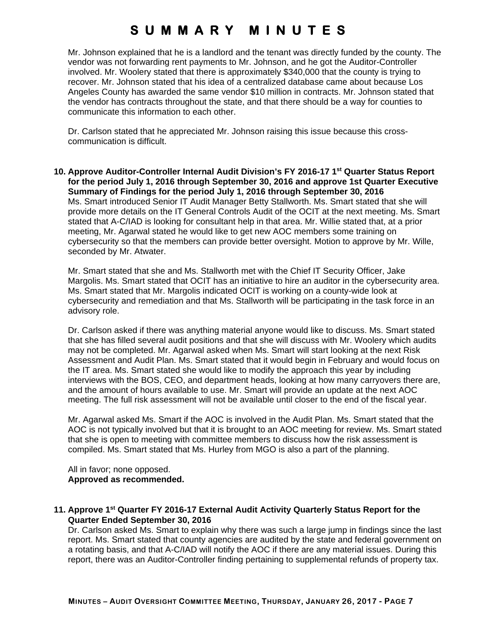Mr. Johnson explained that he is a landlord and the tenant was directly funded by the county. The vendor was not forwarding rent payments to Mr. Johnson, and he got the Auditor-Controller involved. Mr. Woolery stated that there is approximately \$340,000 that the county is trying to recover. Mr. Johnson stated that his idea of a centralized database came about because Los Angeles County has awarded the same vendor \$10 million in contracts. Mr. Johnson stated that the vendor has contracts throughout the state, and that there should be a way for counties to communicate this information to each other.

Dr. Carlson stated that he appreciated Mr. Johnson raising this issue because this crosscommunication is difficult.

**10. Approve Auditor-Controller Internal Audit Division's FY 2016-17 1st Quarter Status Report for the period July 1, 2016 through September 30, 2016 and approve 1st Quarter Executive Summary of Findings for the period July 1, 2016 through September 30, 2016**  Ms. Smart introduced Senior IT Audit Manager Betty Stallworth. Ms. Smart stated that she will provide more details on the IT General Controls Audit of the OCIT at the next meeting. Ms. Smart stated that A-C/IAD is looking for consultant help in that area. Mr. Willie stated that, at a prior meeting, Mr. Agarwal stated he would like to get new AOC members some training on cybersecurity so that the members can provide better oversight. Motion to approve by Mr. Wille, seconded by Mr. Atwater.

Mr. Smart stated that she and Ms. Stallworth met with the Chief IT Security Officer, Jake Margolis. Ms. Smart stated that OCIT has an initiative to hire an auditor in the cybersecurity area. Ms. Smart stated that Mr. Margolis indicated OCIT is working on a county-wide look at cybersecurity and remediation and that Ms. Stallworth will be participating in the task force in an advisory role.

Dr. Carlson asked if there was anything material anyone would like to discuss. Ms. Smart stated that she has filled several audit positions and that she will discuss with Mr. Woolery which audits may not be completed. Mr. Agarwal asked when Ms. Smart will start looking at the next Risk Assessment and Audit Plan. Ms. Smart stated that it would begin in February and would focus on the IT area. Ms. Smart stated she would like to modify the approach this year by including interviews with the BOS, CEO, and department heads, looking at how many carryovers there are, and the amount of hours available to use. Mr. Smart will provide an update at the next AOC meeting. The full risk assessment will not be available until closer to the end of the fiscal year.

Mr. Agarwal asked Ms. Smart if the AOC is involved in the Audit Plan. Ms. Smart stated that the AOC is not typically involved but that it is brought to an AOC meeting for review. Ms. Smart stated that she is open to meeting with committee members to discuss how the risk assessment is compiled. Ms. Smart stated that Ms. Hurley from MGO is also a part of the planning.

All in favor; none opposed. **Approved as recommended.** 

### **11. Approve 1st Quarter FY 2016-17 External Audit Activity Quarterly Status Report for the Quarter Ended September 30, 2016**

Dr. Carlson asked Ms. Smart to explain why there was such a large jump in findings since the last report. Ms. Smart stated that county agencies are audited by the state and federal government on a rotating basis, and that A-C/IAD will notify the AOC if there are any material issues. During this report, there was an Auditor-Controller finding pertaining to supplemental refunds of property tax.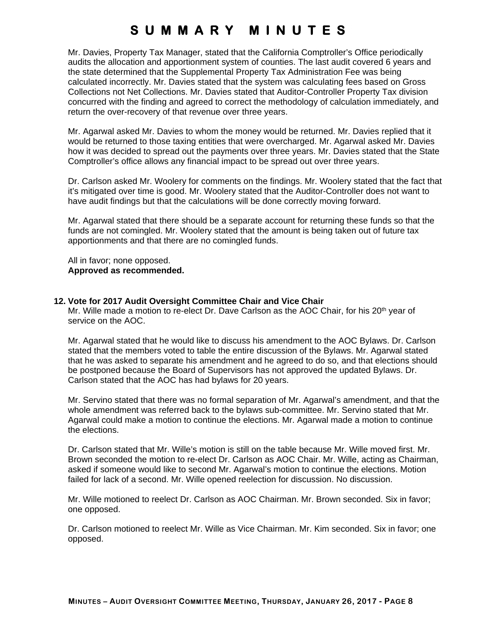Mr. Davies, Property Tax Manager, stated that the California Comptroller's Office periodically audits the allocation and apportionment system of counties. The last audit covered 6 years and the state determined that the Supplemental Property Tax Administration Fee was being calculated incorrectly. Mr. Davies stated that the system was calculating fees based on Gross Collections not Net Collections. Mr. Davies stated that Auditor-Controller Property Tax division concurred with the finding and agreed to correct the methodology of calculation immediately, and return the over-recovery of that revenue over three years.

Mr. Agarwal asked Mr. Davies to whom the money would be returned. Mr. Davies replied that it would be returned to those taxing entities that were overcharged. Mr. Agarwal asked Mr. Davies how it was decided to spread out the payments over three years. Mr. Davies stated that the State Comptroller's office allows any financial impact to be spread out over three years.

Dr. Carlson asked Mr. Woolery for comments on the findings. Mr. Woolery stated that the fact that it's mitigated over time is good. Mr. Woolery stated that the Auditor-Controller does not want to have audit findings but that the calculations will be done correctly moving forward.

Mr. Agarwal stated that there should be a separate account for returning these funds so that the funds are not comingled. Mr. Woolery stated that the amount is being taken out of future tax apportionments and that there are no comingled funds.

All in favor; none opposed. **Approved as recommended.** 

#### **12. Vote for 2017 Audit Oversight Committee Chair and Vice Chair**

Mr. Wille made a motion to re-elect Dr. Dave Carlson as the AOC Chair, for his 20<sup>th</sup> year of service on the AOC.

Mr. Agarwal stated that he would like to discuss his amendment to the AOC Bylaws. Dr. Carlson stated that the members voted to table the entire discussion of the Bylaws. Mr. Agarwal stated that he was asked to separate his amendment and he agreed to do so, and that elections should be postponed because the Board of Supervisors has not approved the updated Bylaws. Dr. Carlson stated that the AOC has had bylaws for 20 years.

Mr. Servino stated that there was no formal separation of Mr. Agarwal's amendment, and that the whole amendment was referred back to the bylaws sub-committee. Mr. Servino stated that Mr. Agarwal could make a motion to continue the elections. Mr. Agarwal made a motion to continue the elections.

Dr. Carlson stated that Mr. Wille's motion is still on the table because Mr. Wille moved first. Mr. Brown seconded the motion to re-elect Dr. Carlson as AOC Chair. Mr. Wille, acting as Chairman, asked if someone would like to second Mr. Agarwal's motion to continue the elections. Motion failed for lack of a second. Mr. Wille opened reelection for discussion. No discussion.

Mr. Wille motioned to reelect Dr. Carlson as AOC Chairman. Mr. Brown seconded. Six in favor; one opposed.

Dr. Carlson motioned to reelect Mr. Wille as Vice Chairman. Mr. Kim seconded. Six in favor; one opposed.